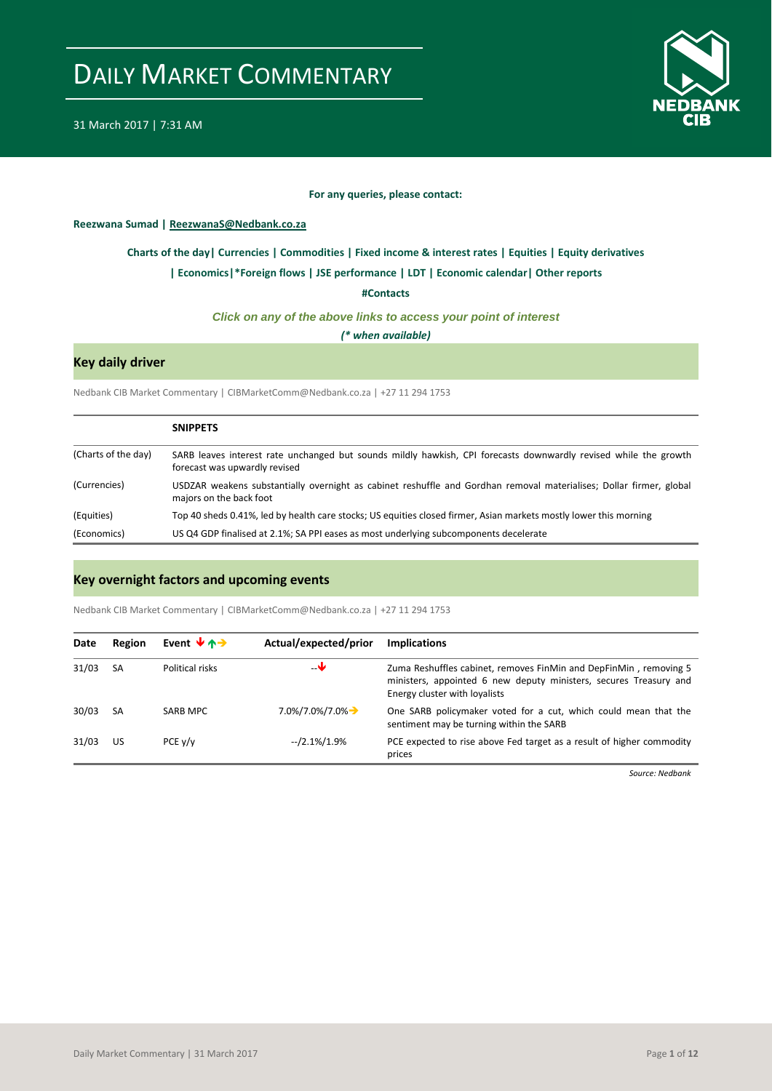

#### **For any queries, please contact:**

<span id="page-0-0"></span>**Reezwana Sumad | ReezwanaS@Nedbank.co.za**

#### **[Charts of the day|](#page-1-0) [Currencies](#page-2-0) [| Commodities](#page-3-0) | [Fixed income & interest rates](#page-4-0) [| Equities](#page-5-0) | Equity derivatives**

#### **[| Economics|](#page-6-0)\*Foreign flows | [JSE performance](#page-7-0) [| LDT](#page-8-0) [| Economic calendar|](#page-9-0) Other reports**

**[#Contacts](#page-10-0)**

#### *Click on any of the above links to access your point of interest*

*(\* when available)*

### **Key daily driver**

Nedbank CIB Market Commentary | CIBMarketComm@Nedbank.co.za | +27 11 294 1753

|                     | <b>SNIPPETS</b>                                                                                                                                   |
|---------------------|---------------------------------------------------------------------------------------------------------------------------------------------------|
| (Charts of the day) | SARB leaves interest rate unchanged but sounds mildly hawkish, CPI forecasts downwardly revised while the growth<br>forecast was upwardly revised |
| (Currencies)        | USDZAR weakens substantially overnight as cabinet reshuffle and Gordhan removal materialises; Dollar firmer, global<br>majors on the back foot    |
| (Equities)          | Top 40 sheds 0.41%, led by health care stocks; US equities closed firmer, Asian markets mostly lower this morning                                 |
| (Economics)         | US Q4 GDP finalised at 2.1%; SA PPI eases as most underlying subcomponents decelerate                                                             |

#### **Key overnight factors and upcoming events**

Nedbank CIB Market Commentary | CIBMarketComm@Nedbank.co.za | +27 11 294 1753

| Date  | Region | Event $\forall$ $\land \rightarrow$ | Actual/expected/prior                    | <b>Implications</b>                                                                                                                                                     |
|-------|--------|-------------------------------------|------------------------------------------|-------------------------------------------------------------------------------------------------------------------------------------------------------------------------|
| 31/03 | SA     | Political risks                     | –₩                                       | Zuma Reshuffles cabinet, removes FinMin and DepFinMin, removing 5<br>ministers, appointed 6 new deputy ministers, secures Treasury and<br>Energy cluster with loyalists |
| 30/03 | SA     | SARB MPC                            | $7.0\frac{1}{1}$ , 0%/7.0% $\rightarrow$ | One SARB policymaker voted for a cut, which could mean that the<br>sentiment may be turning within the SARB                                                             |
| 31/03 | US     | PCE y/y                             | --/2.1%/1.9%                             | PCE expected to rise above Fed target as a result of higher commodity<br>prices                                                                                         |

*Source: Nedbank*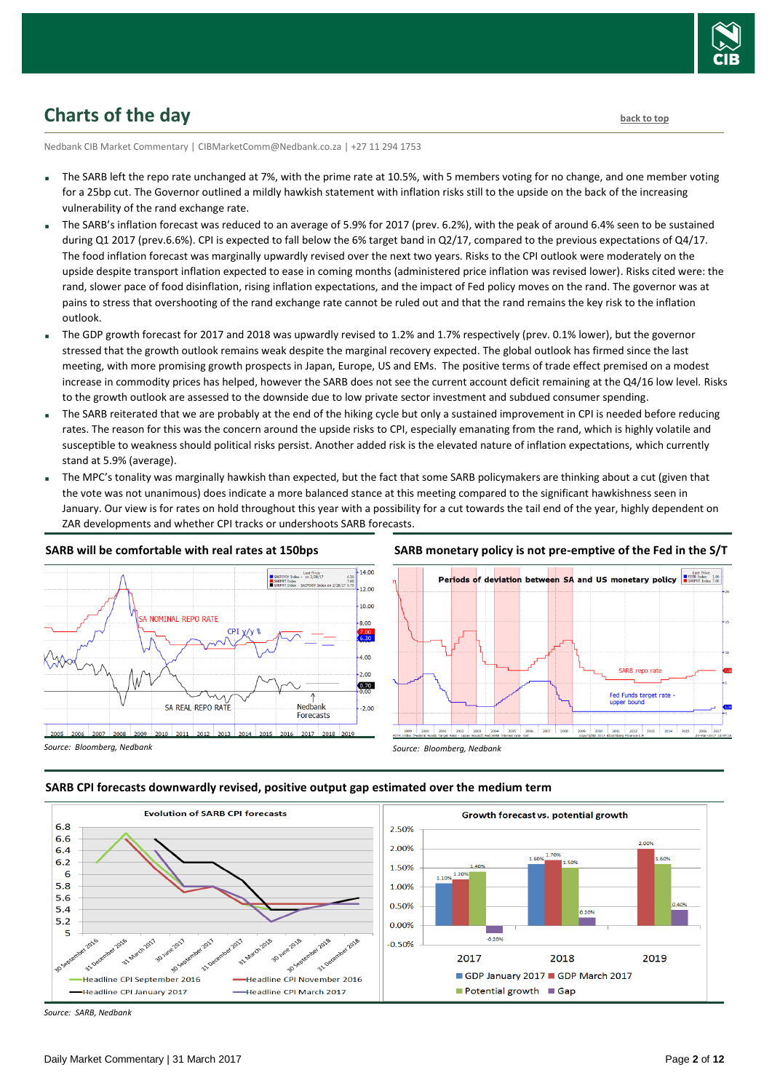

## <span id="page-1-0"></span>**Charts of the day** [back to top](#page-0-0) back to top

Nedbank CIB Market Commentary | CIBMarketComm@Nedbank.co.za | +27 11 294 1753

- The SARB left the repo rate unchanged at 7%, with the prime rate at 10.5%, with 5 members voting for no change, and one member voting for a 25bp cut. The Governor outlined a mildly hawkish statement with inflation risks still to the upside on the back of the increasing vulnerability of the rand exchange rate.
- The SARB's inflation forecast was reduced to an average of 5.9% for 2017 (prev. 6.2%), with the peak of around 6.4% seen to be sustained during Q1 2017 (prev.6.6%). CPI is expected to fall below the 6% target band in Q2/17, compared to the previous expectations of Q4/17. The food inflation forecast was marginally upwardly revised over the next two years. Risks to the CPI outlook were moderately on the upside despite transport inflation expected to ease in coming months (administered price inflation was revised lower). Risks cited were: the rand, slower pace of food disinflation, rising inflation expectations, and the impact of Fed policy moves on the rand. The governor was at pains to stress that overshooting of the rand exchange rate cannot be ruled out and that the rand remains the key risk to the inflation outlook.
- The GDP growth forecast for 2017 and 2018 was upwardly revised to 1.2% and 1.7% respectively (prev. 0.1% lower), but the governor stressed that the growth outlook remains weak despite the marginal recovery expected. The global outlook has firmed since the last meeting, with more promising growth prospects in Japan, Europe, US and EMs. The positive terms of trade effect premised on a modest increase in commodity prices has helped, however the SARB does not see the current account deficit remaining at the Q4/16 low level. Risks to the growth outlook are assessed to the downside due to low private sector investment and subdued consumer spending.
- The SARB reiterated that we are probably at the end of the hiking cycle but only a sustained improvement in CPI is needed before reducing rates. The reason for this was the concern around the upside risks to CPI, especially emanating from the rand, which is highly volatile and susceptible to weakness should political risks persist. Another added risk is the elevated nature of inflation expectations, which currently stand at 5.9% (average).
- The MPC's tonality was marginally hawkish than expected, but the fact that some SARB policymakers are thinking about a cut (given that the vote was not unanimous) does indicate a more balanced stance at this meeting compared to the significant hawkishness seen in January. Our view is for rates on hold throughout this year with a possibility for a cut towards the tail end of the year, highly dependent on ZAR developments and whether CPI tracks or undershoots SARB forecasts.



#### **SARB will be comfortable with real rates at 150bps**

#### **SARB monetary policy is not pre-emptive of the Fed in the S/T**







*Source: SARB, Nedbank*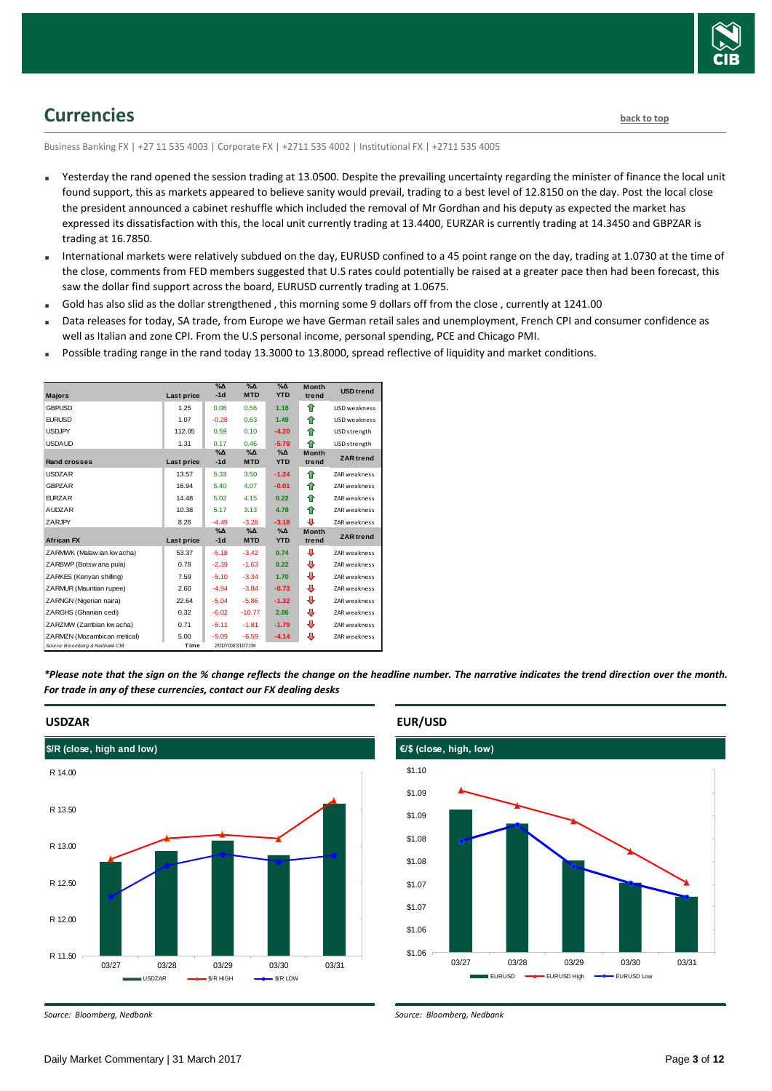

## <span id="page-2-0"></span>**Currencies [back to top](#page-0-0)**

Business Banking FX | +27 11 535 4003 | Corporate FX | +2711 535 4002 | Institutional FX | +2711 535 4005

- Yesterday the rand opened the session trading at 13.0500. Despite the prevailing uncertainty regarding the minister of finance the local unit found support, this as markets appeared to believe sanity would prevail, trading to a best level of 12.8150 on the day. Post the local close the president announced a cabinet reshuffle which included the removal of Mr Gordhan and his deputy as expected the market has expressed its dissatisfaction with this, the local unit currently trading at 13.4400, EURZAR is currently trading at 14.3450 and GBPZAR is trading at 16.7850.
- International markets were relatively subdued on the day, EURUSD confined to a 45 point range on the day, trading at 1.0730 at the time of the close, comments from FED members suggested that U.S rates could potentially be raised at a greater pace then had been forecast, this saw the dollar find support across the board, EURUSD currently trading at 1.0675.
- Gold has also slid as the dollar strengthened , this morning some 9 dollars off from the close , currently at 1241.00
- Data releases for today, SA trade, from Europe we have German retail sales and unemployment, French CPI and consumer confidence as well as Italian and zone CPI. From the U.S personal income, personal spending, PCE and Chicago PMI.
- Possible trading range in the rand today 13.3000 to 13.8000, spread reflective of liquidity and market conditions.

|                                 |            | $\sqrt{2}$<br>$-1d$    | $\sqrt{\Delta}$<br><b>MTD</b> | $\sqrt{\Delta}$<br><b>YTD</b> | <b>Month</b>          | <b>USD</b> trend    |
|---------------------------------|------------|------------------------|-------------------------------|-------------------------------|-----------------------|---------------------|
| <b>Majors</b>                   | Last price |                        |                               |                               | trend                 |                     |
| <b>GBPUSD</b>                   | 1.25       | 0.08                   | 0.56                          | 1.18                          | 全                     | <b>USD</b> weakness |
| <b>FURUSD</b>                   | 1.07       | $-0.28$                | 0.63                          | 1.49                          | ⇑                     | <b>USD</b> weakness |
| <b>USDJPY</b>                   | 112.05     | 0.59                   | 0.10                          | $-4.20$                       | ♠                     | USD strength        |
| <b>USDAUD</b>                   | 1.31       | 0.17                   | 0.46                          | $-5.79$                       | ♠                     | USD strength        |
| <b>Rand crosses</b>             | Last price | $\%$ $\Delta$<br>$-1d$ | $\%$ $\Delta$<br><b>MTD</b>   | $\%$ $\Delta$<br><b>YTD</b>   | <b>Month</b><br>trend | <b>ZAR</b> trend    |
| <b>USDZAR</b>                   | 13.57      | 5.33                   | 3.50                          | $-1.24$                       | 全                     | <b>ZAR</b> weakness |
| <b>GBPZAR</b>                   | 16.94      | 5.40                   | 4.07                          | $-0.01$                       | ⇑                     | ZAR weakness        |
| <b>FURZAR</b>                   | 14.48      | 5.02                   | 4.15                          | 0.22                          | ⇑                     | <b>ZAR</b> weakness |
| <b>AUDZAR</b>                   | 10.38      | 5.17                   | 3.13                          | 4.78                          | ♠                     | <b>ZAR weakness</b> |
| ZARJPY                          | 8.26       | $-4.49$                | $-3.28$                       | $-3.18$                       | J                     | <b>ZAR</b> weakness |
| <b>African FX</b>               | Last price | $\alpha$<br>$-1d$      | $\Delta_0$<br><b>MTD</b>      | $\Delta_0$<br><b>YTD</b>      | Month<br>trend        | <b>ZAR</b> trend    |
| ZARMWK (Malaw ian kw acha)      | 53.37      | $-5.18$                | $-3.42$                       | 0.74                          | ⊕                     | <b>ZAR</b> weakness |
| ZARBWP (Botsw ana pula)         | 0.78       | $-2.39$                | $-1.63$                       | 0.22                          | ⊕                     | ZAR weakness        |
| ZARKES (Kenyan shilling)        | 7.59       | $-5.10$                | $-3.34$                       | 1.70                          | ⊕                     | ZAR weakness        |
| ZARMUR (Mauritian rupee)        | 2.60       | $-4.94$                | $-3.84$                       | $-0.73$                       | ⊕                     | <b>ZAR</b> weakness |
| ZARNGN (Nigerian naira)         | 22.64      | $-5.04$                | $-5.86$                       | $-1.32$                       | ⊕                     | <b>ZAR</b> weakness |
| ZARGHS (Ghanian cedi)           | 0.32       | $-6.02$                | $-10.77$                      | 2.86                          | ⊕                     | ZAR weakness        |
| ZARZMW (Zambian kw acha)        | 0.71       | $-5.11$                | $-1.81$                       | $-1.79$                       | ⊕                     | ZAR weakness        |
| ZARMZN (Mozambican metical)     | 5.00       | $-5.09$                | $-6.59$                       | $-4.14$                       | J                     | ZAR weakness        |
| Source: Bloomberg & Nedbank CIB | Time       |                        | 2017/03/3107:09               |                               |                       |                     |

*\*Please note that the sign on the % change reflects the change on the headline number. The narrative indicates the trend direction over the month. For trade in any of these currencies, contact our FX dealing desks*



**USDZAR**

*Source: Bloomberg, Nedbank*



*Source: Bloomberg, Nedbank*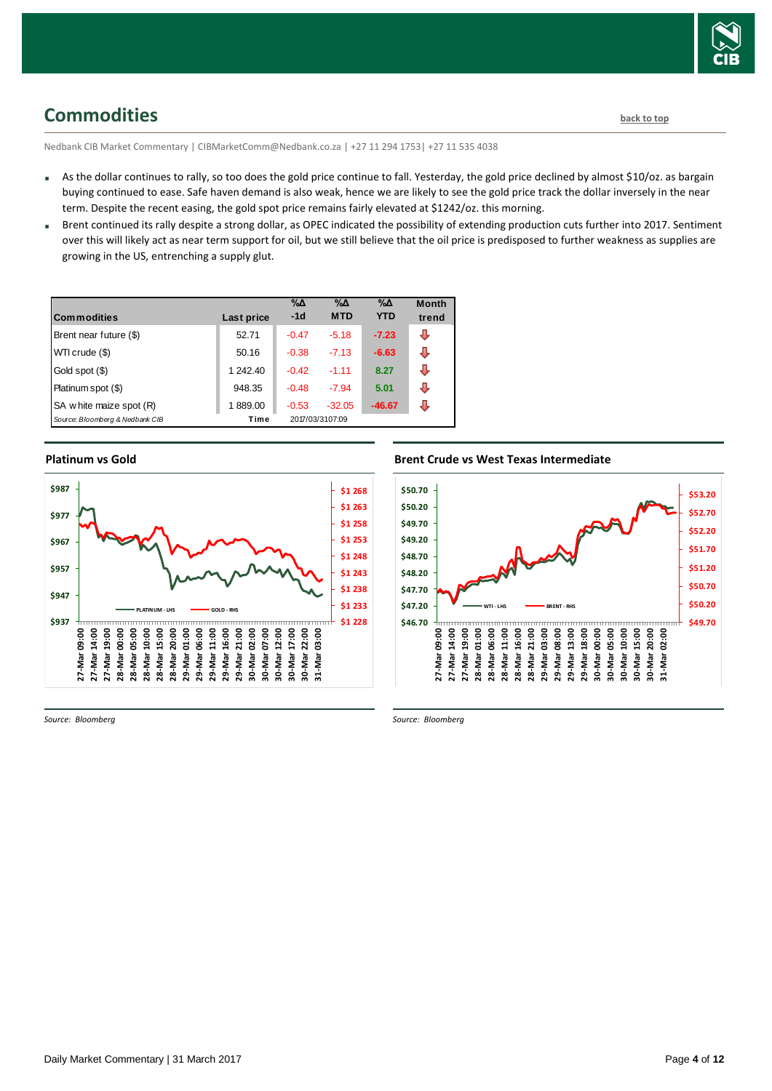

## <span id="page-3-0"></span>**Commodities [back to top](#page-0-0)**

Nedbank CIB Market Commentary | CIBMarketComm@Nedbank.co.za | +27 11 294 1753| +27 11 535 4038

- As the dollar continues to rally, so too does the gold price continue to fall. Yesterday, the gold price declined by almost \$10/oz. as bargain buying continued to ease. Safe haven demand is also weak, hence we are likely to see the gold price track the dollar inversely in the near term. Despite the recent easing, the gold spot price remains fairly elevated at \$1242/oz. this morning.
- Brent continued its rally despite a strong dollar, as OPEC indicated the possibility of extending production cuts further into 2017. Sentiment over this will likely act as near term support for oil, but we still believe that the oil price is predisposed to further weakness as supplies are growing in the US, entrenching a supply glut.

| <b>Commodities</b>              | Last price | $\% \Delta$<br>$-1d$ | %Δ<br><b>MTD</b> | %Δ<br><b>YTD</b> | <b>Month</b><br>trend |
|---------------------------------|------------|----------------------|------------------|------------------|-----------------------|
| Brent near future (\$)          | 52.71      | $-0.47$              | $-5.18$          | $-7.23$          | ⊕                     |
| WTI crude (\$)                  | 50.16      | $-0.38$              | $-7.13$          | $-6.63$          | ⊕                     |
| Gold spot (\$)                  | 1 242.40   | $-0.42$              | $-1.11$          | 8.27             | J                     |
| Platinum spot (\$)              | 948.35     | $-0.48$              | $-7.94$          | 5.01             | ⊕                     |
| SA w hite maize spot (R)        | 1889.00    | $-0.53$              | $-32.05$         | $-46.67$         | J.                    |
| Source: Bloomberg & Nedbank CIB | Time       |                      | 2017/03/3107:09  |                  |                       |

**Platinum vs Gold Platinum vs. Gold** 



*Source: Bloomberg*

### **Brent Crude vs West Texas Intermediate Brent Crude vs West Texas Intermediate**



*Source: Bloomberg*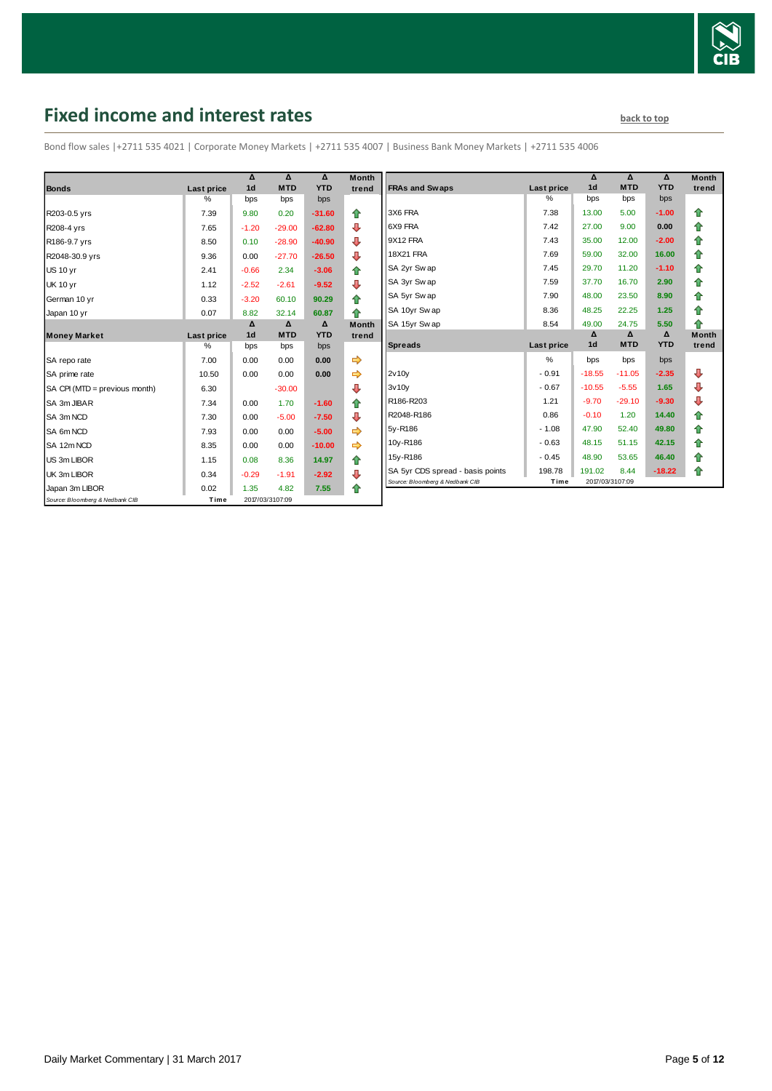

# <span id="page-4-0"></span>**Fixed income and interest rates back to the line of the set of the set of the set of the set of the set of the set of the set of the set of the set of the set of the set of the set of the set of the set of the set of th**

Bond flow sales |+2711 535 4021 | Corporate Money Markets | +2711 535 4007 | Business Bank Money Markets | +2711 535 4006

| <b>Bonds</b>                    | Last price         | Δ<br>1 <sub>d</sub> | Δ<br><b>MTD</b> | Δ<br><b>YTD</b> | <b>Month</b><br>trend |
|---------------------------------|--------------------|---------------------|-----------------|-----------------|-----------------------|
|                                 | $\%$               | bps                 | bps             | bps             |                       |
| R203-0.5 yrs                    | 7.39               | 9.80                | 0.20            | $-31.60$        | ⇑                     |
| R208-4 yrs                      | 7.65               | $-1.20$             | $-29.00$        | $-62.80$        | ⊕                     |
| R186-9.7 yrs                    | 8.50               | 0.10                | $-28.90$        | $-40.90$        | ⊕                     |
| R2048-30.9 yrs                  | 9.36               | 0.00                | $-27.70$        | $-26.50$        | ⇩                     |
| <b>US 10 vr</b>                 | 2.41               | $-0.66$             | 2.34            | $-3.06$         | 合                     |
| <b>UK 10 yr</b>                 | 1.12               | $-2.52$             | $-2.61$         | $-9.52$         | ⊕                     |
| German 10 yr                    | 0.33               | $-3.20$             | 60.10           | 90.29           | ⇑                     |
| Japan 10 yr                     | 0.07               | 8.82                | 32.14           | 60.87           | ♠                     |
|                                 |                    | Δ<br>1 <sub>d</sub> | Δ<br><b>MTD</b> | Δ<br><b>YTD</b> | <b>Month</b>          |
| <b>Money Market</b>             | Last price<br>$\%$ | bps                 | bps             | bps             | trend                 |
|                                 |                    |                     |                 |                 |                       |
| SA repo rate                    | 7.00               | 0.00                | 0.00            | 0.00            | ⇛                     |
| SA prime rate                   | 10.50              | 0.00                | 0.00            | 0.00            |                       |
| SA CPI (MTD = previous month)   | 6.30               |                     | $-30.00$        |                 | ⊕                     |
| SA 3m JIBAR                     | 7.34               | 0.00                | 1.70            | $-1.60$         | 合                     |
| SA 3m NCD                       | 7.30               | 0.00                | $-5.00$         | $-7.50$         | ⊕                     |
| SA 6m NCD                       | 7.93               | 0.00                | 0.00            | $-5.00$         | ⇨                     |
| SA 12m NCD                      | 8.35               | 0.00                | 0.00            | $-10.00$        | ⇨                     |
| US 3m LIBOR                     | 1.15               | 0.08                | 8.36            | 14.97           | ✿                     |
| UK 3m LIBOR                     | 0.34               | $-0.29$             | $-1.91$         | $-2.92$         | ⊕                     |
| Japan 3m LIBOR                  | 0.02               | 1.35                | 4.82            | 7.55            | ⇑                     |
| Source: Bloomberg & Nedbank CIB | Time               |                     | 2017/03/3107:09 |                 |                       |

| Month<br>trend | <b>FRAs and Swaps</b>            | Last price    | Δ<br>1 <sub>d</sub> | Δ<br><b>MTD</b> | Δ<br><b>YTD</b> | <b>Month</b><br>trend |
|----------------|----------------------------------|---------------|---------------------|-----------------|-----------------|-----------------------|
|                |                                  | %             | bps                 | bps             | bps             |                       |
| ✿              | 3X6 FRA                          | 7.38          | 13.00               | 5.00            | $-1.00$         | ⇑                     |
| ⊕              | 6X9 FRA                          | 7.42          | 27.00               | 9.00            | 0.00            | ✿                     |
| ⊕              | 9X12 FRA                         | 7.43          | 35.00               | 12.00           | $-2.00$         | 合                     |
| ⊕              | <b>18X21 FRA</b>                 | 7.69          | 59.00               | 32.00           | 16.00           | ⇑                     |
| 合              | SA 2yr Sw ap                     | 7.45          | 29.70               | 11.20           | $-1.10$         | 合                     |
| ⊕              | SA 3yr Swap                      | 7.59          | 37.70               | 16.70           | 2.90            | 合                     |
| ⇮              | SA 5yr Swap                      | 7.90          | 48.00               | 23.50           | 8.90            | ↟                     |
| 合              | SA 10yr Swap                     | 8.36          | 48.25               | 22.25           | 1.25            | ⇮                     |
| Month          | SA 15yr Swap                     | 8.54          | 49.00               | 24.75           | 5.50            | ♠                     |
|                |                                  |               |                     | Δ               | Δ               |                       |
| trend          |                                  |               | Δ                   |                 |                 | <b>Month</b>          |
|                | <b>Spreads</b>                   | Last price    | 1 <sub>d</sub>      | <b>MTD</b>      | <b>YTD</b>      | trend                 |
|                |                                  | $\frac{9}{6}$ | bps                 | bps             | bps             |                       |
| ⇛<br>⇛         | 2v10v                            | $-0.91$       | $-18.55$            | $-11.05$        | $-2.35$         | ⊕                     |
| ⊕              | 3v10v                            | $-0.67$       | $-10.55$            | $-5.55$         | 1.65            | ⊕                     |
| 合              | R186-R203                        | 1.21          | $-9.70$             | $-29.10$        | $-9.30$         | ⊕                     |
| ⊕              | R2048-R186                       | 0.86          | $-0.10$             | 1.20            | 14.40           | ⇮                     |
| ⇛              | 5y-R186                          | $-1.08$       | 47.90               | 52.40           | 49.80           | 合                     |
| ⇛              | 10y-R186                         | $-0.63$       | 48.15               | 51.15           | 42.15           | 合                     |
|                | 15y-R186                         | $-0.45$       | 48.90               | 53.65           | 46.40           | 合                     |
| ⇑<br>⊕         | SA 5yr CDS spread - basis points | 198.78        | 191.02              | 8.44            | $-18.22$        | ⇮                     |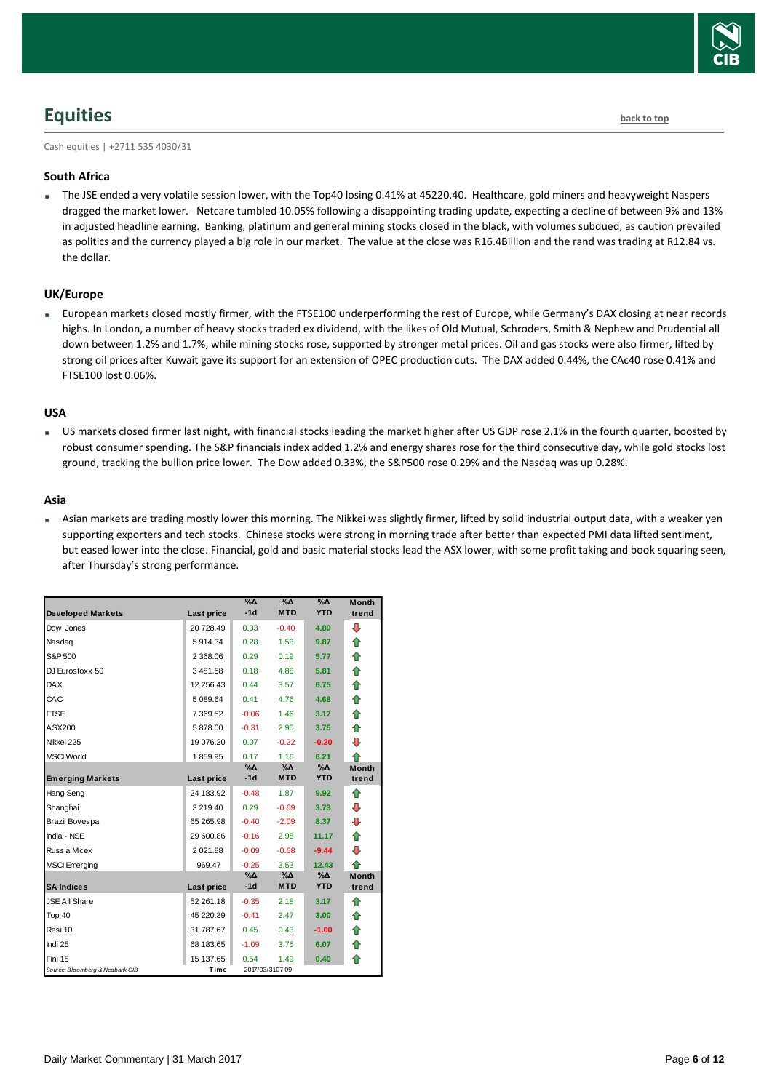

## <span id="page-5-0"></span>**Equities [back to top](#page-0-0)**

Cash equities | +2711 535 4030/31

#### **South Africa**

 The JSE ended a very volatile session lower, with the Top40 losing 0.41% at 45220.40. Healthcare, gold miners and heavyweight Naspers dragged the market lower. Netcare tumbled 10.05% following a disappointing trading update, expecting a decline of between 9% and 13% in adjusted headline earning. Banking, platinum and general mining stocks closed in the black, with volumes subdued, as caution prevailed as politics and the currency played a big role in our market. The value at the close was R16.4Billion and the rand was trading at R12.84 vs. the dollar.

#### **UK/Europe**

 European markets closed mostly firmer, with the FTSE100 underperforming the rest of Europe, while Germany's DAX closing at near records highs. In London, a number of heavy stocks traded ex dividend, with the likes of Old Mutual, Schroders, Smith & Nephew and Prudential all down between 1.2% and 1.7%, while mining stocks rose, supported by stronger metal prices. Oil and gas stocks were also firmer, lifted by strong oil prices after Kuwait gave its support for an extension of OPEC production cuts. The DAX added 0.44%, the CAc40 rose 0.41% and FTSE100 lost 0.06%.

#### **USA**

 US markets closed firmer last night, with financial stocks leading the market higher after US GDP rose 2.1% in the fourth quarter, boosted by robust consumer spending. The S&P financials index added 1.2% and energy shares rose for the third consecutive day, while gold stocks lost ground, tracking the bullion price lower. The Dow added 0.33%, the S&P500 rose 0.29% and the Nasdaq was up 0.28%.

#### **Asia**

 Asian markets are trading mostly lower this morning. The Nikkei was slightly firmer, lifted by solid industrial output data, with a weaker yen supporting exporters and tech stocks. Chinese stocks were strong in morning trade after better than expected PMI data lifted sentiment, but eased lower into the close. Financial, gold and basic material stocks lead the ASX lower, with some profit taking and book squaring seen, after Thursday's strong performance.

|                                 |             | $\%$ $\Delta$ | $\%$ $\Delta$   | %Δ            | <b>Month</b> |
|---------------------------------|-------------|---------------|-----------------|---------------|--------------|
| <b>Developed Markets</b>        | Last price  | $-1d$         | <b>MTD</b>      | <b>YTD</b>    | trend        |
| Dow Jones                       | 20 728.49   | 0.33          | $-0.40$         | 4.89          | ⊕            |
| Nasdag                          | 5914.34     | 0.28          | 1.53            | 9.87          | ⇑            |
| S&P 500                         | 2 368.06    | 0.29          | 0.19            | 5.77          | ⇮            |
| DJ Eurostoxx 50                 | 3481.58     | 0.18          | 4.88            | 5.81          | ⇮            |
| <b>DAX</b>                      | 12 256.43   | 0.44          | 3.57            | 6.75          | ⇮            |
| CAC                             | 5 089.64    | 0.41          | 4.76            | 4.68          | ⇑            |
| <b>FTSE</b>                     | 7 369.52    | $-0.06$       | 1.46            | 3.17          | ⇮            |
| ASX200                          | 5878.00     | $-0.31$       | 2.90            | 3.75          | ♠            |
| Nikkei 225                      | 19 076.20   | 0.07          | $-0.22$         | $-0.20$       | ⊕            |
| <b>MSCI World</b>               | 1859.95     | 0.17          | 1.16            | 6.21          | ♠            |
|                                 |             | $\% \Delta$   | $\% \Delta$     | $\%$ $\Delta$ | <b>Month</b> |
| <b>Emerging Markets</b>         | Last price  | $-1d$         | <b>MTD</b>      | <b>YTD</b>    | trend        |
| Hang Seng                       | 24 183.92   | $-0.48$       | 1.87            | 9.92          | ⇮            |
| Shanghai                        | 3 219.40    | 0.29          | $-0.69$         | 3.73          | ⊕            |
| Brazil Bovespa                  | 65 265.98   | $-0.40$       | $-2.09$         | 8.37          | ⊕            |
| India - NSE                     | 29 600.86   | $-0.16$       | 2.98            | 11.17         | ♠            |
| Russia Micex                    | 2 0 2 1 .88 | $-0.09$       | $-0.68$         | $-9.44$       | ⊕            |
| <b>MSCI</b> Emerging            | 969.47      | $-0.25$       | 3.53            | 12.43         | ♠            |
|                                 |             | %Δ            | %Δ              | $\%$ $\Delta$ | <b>Month</b> |
| <b>SA Indices</b>               | Last price  | $-1d$         | <b>MTD</b>      | <b>YTD</b>    | trend        |
| <b>JSE All Share</b>            | 52 261.18   | $-0.35$       | 2.18            | 3.17          | ♠            |
| Top 40                          | 45 220.39   | $-0.41$       | 2.47            | 3.00          | ♠            |
| Resi 10                         | 31 787.67   | 0.45          | 0.43            | $-1.00$       | ⇑            |
| Indi 25                         | 68 183.65   | $-1.09$       | 3.75            | 6.07          | ⇮            |
| Fini 15                         | 15 137.65   | 0.54          | 1.49            | 0.40          | ♠            |
| Source: Bloomberg & Nedbank CIB | Time        |               | 2017/03/3107:09 |               |              |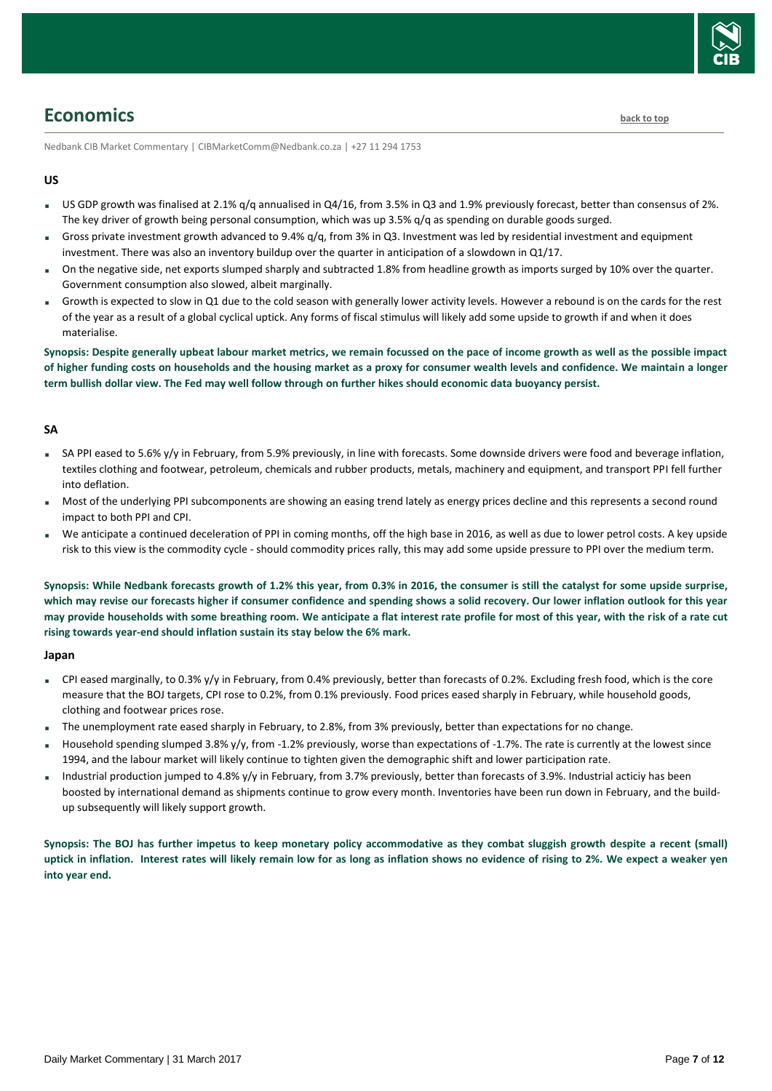

### <span id="page-6-0"></span>**Economics [back to top](#page-0-0)**

Nedbank CIB Market Commentary | CIBMarketComm@Nedbank.co.za | +27 11 294 1753

#### **US**

- US GDP growth was finalised at 2.1% g/q annualised in Q4/16, from 3.5% in Q3 and 1.9% previously forecast, better than consensus of 2%. The key driver of growth being personal consumption, which was up 3.5% q/q as spending on durable goods surged.
- Gross private investment growth advanced to 9.4% q/q, from 3% in Q3. Investment was led by residential investment and equipment investment. There was also an inventory buildup over the quarter in anticipation of a slowdown in Q1/17.
- On the negative side, net exports slumped sharply and subtracted 1.8% from headline growth as imports surged by 10% over the quarter. Government consumption also slowed, albeit marginally.
- Growth is expected to slow in Q1 due to the cold season with generally lower activity levels. However a rebound is on the cards for the rest of the year as a result of a global cyclical uptick. Any forms of fiscal stimulus will likely add some upside to growth if and when it does materialise.

**Synopsis: Despite generally upbeat labour market metrics, we remain focussed on the pace of income growth as well as the possible impact of higher funding costs on households and the housing market as a proxy for consumer wealth levels and confidence. We maintain a longer term bullish dollar view. The Fed may well follow through on further hikes should economic data buoyancy persist.** 

#### **SA**

- SA PPI eased to 5.6% y/y in February, from 5.9% previously, in line with forecasts. Some downside drivers were food and beverage inflation, textiles clothing and footwear, petroleum, chemicals and rubber products, metals, machinery and equipment, and transport PPI fell further into deflation.
- Most of the underlying PPI subcomponents are showing an easing trend lately as energy prices decline and this represents a second round impact to both PPI and CPI.
- We anticipate a continued deceleration of PPI in coming months, off the high base in 2016, as well as due to lower petrol costs. A key upside risk to this view is the commodity cycle - should commodity prices rally, this may add some upside pressure to PPI over the medium term.

**Synopsis: While Nedbank forecasts growth of 1.2% this year, from 0.3% in 2016, the consumer is still the catalyst for some upside surprise, which may revise our forecasts higher if consumer confidence and spending shows a solid recovery. Our lower inflation outlook for this year may provide households with some breathing room. We anticipate a flat interest rate profile for most of this year, with the risk of a rate cut rising towards year-end should inflation sustain its stay below the 6% mark.**

#### **Japan**

- CPI eased marginally, to 0.3% y/y in February, from 0.4% previously, better than forecasts of 0.2%. Excluding fresh food, which is the core measure that the BOJ targets, CPI rose to 0.2%, from 0.1% previously. Food prices eased sharply in February, while household goods, clothing and footwear prices rose.
- The unemployment rate eased sharply in February, to 2.8%, from 3% previously, better than expectations for no change.
- Household spending slumped 3.8% y/y, from -1.2% previously, worse than expectations of -1.7%. The rate is currently at the lowest since 1994, and the labour market will likely continue to tighten given the demographic shift and lower participation rate.
- Industrial production jumped to 4.8% y/y in February, from 3.7% previously, better than forecasts of 3.9%. Industrial acticiy has been boosted by international demand as shipments continue to grow every month. Inventories have been run down in February, and the buildup subsequently will likely support growth.

**Synopsis: The BOJ has further impetus to keep monetary policy accommodative as they combat sluggish growth despite a recent (small) uptick in inflation. Interest rates will likely remain low for as long as inflation shows no evidence of rising to 2%. We expect a weaker yen into year end.**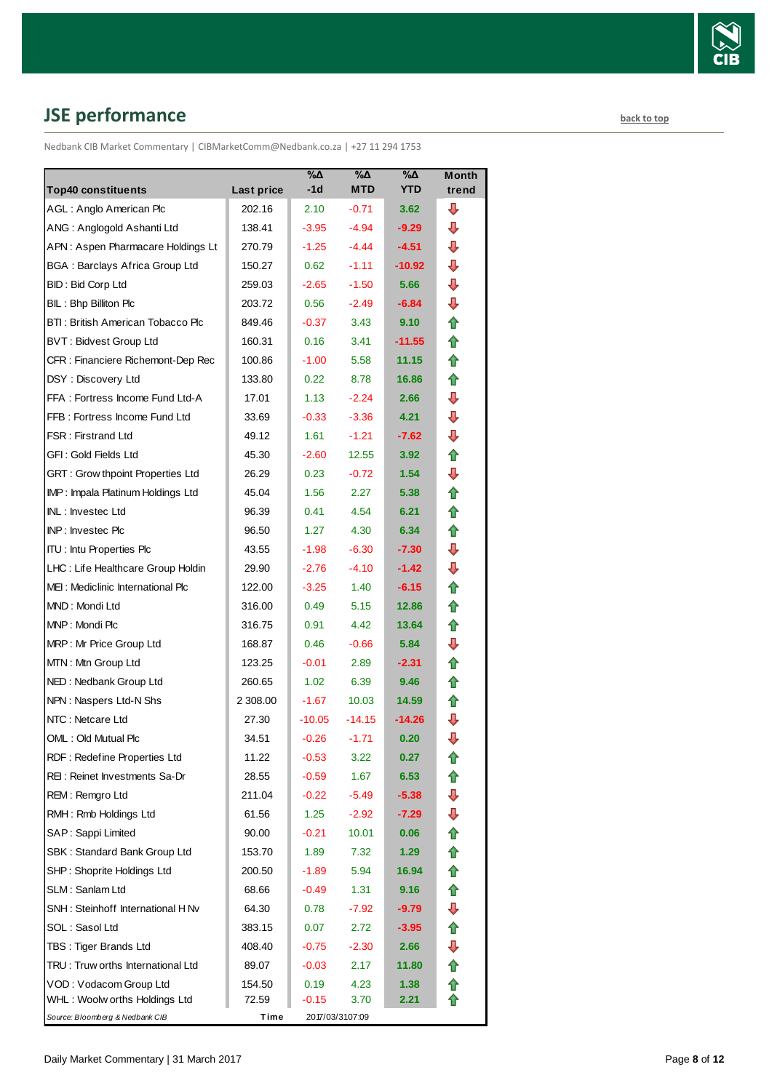

# <span id="page-7-0"></span>**JSE performance [back to top](#page-0-0)**

Nedbank CIB Market Commentary | CIBMarketComm@Nedbank.co.za | +27 11 294 1753

| <b>Top40 constituents</b>             | Last price | $\%$ $\Delta$<br>-1d | %Δ<br><b>MTD</b> | $\% \Delta$<br><b>YTD</b> | Month<br>trend |
|---------------------------------------|------------|----------------------|------------------|---------------------------|----------------|
| AGL: Anglo American Plc               | 202.16     | 2.10                 | $-0.71$          | 3.62                      | ⊕              |
| ANG: Anglogold Ashanti Ltd            | 138.41     | $-3.95$              | $-4.94$          | $-9.29$                   | ⊕              |
| APN: Aspen Pharmacare Holdings Lt     | 270.79     | $-1.25$              | $-4.44$          | $-4.51$                   | ⊕              |
| <b>BGA: Barclays Africa Group Ltd</b> | 150.27     | 0.62                 | $-1.11$          | $-10.92$                  | ⊕              |
| BID: Bid Corp Ltd                     | 259.03     | $-2.65$              | $-1.50$          | 5.66                      | ⊕              |
| BIL: Bhp Billiton Plc                 | 203.72     | 0.56                 | $-2.49$          | $-6.84$                   | ⊕              |
| BTI: British American Tobacco Plc     | 849.46     | $-0.37$              | 3.43             | 9.10                      | ⇑              |
| <b>BVT: Bidvest Group Ltd</b>         | 160.31     | 0.16                 | 3.41             | $-11.55$                  | ⇑              |
| CFR : Financiere Richemont-Dep Rec    | 100.86     | $-1.00$              | 5.58             | 11.15                     | ⇑              |
| DSY: Discovery Ltd                    | 133.80     | 0.22                 | 8.78             | 16.86                     | 合              |
| FFA: Fortress Income Fund Ltd-A       | 17.01      | 1.13                 | $-2.24$          | 2.66                      | ⊕              |
| FFB: Fortress Income Fund Ltd         | 33.69      | $-0.33$              | $-3.36$          | 4.21                      | ⇩              |
| <b>FSR: Firstrand Ltd</b>             | 49.12      | 1.61                 | $-1.21$          | $-7.62$                   | ⇩              |
| GFI: Gold Fields Ltd                  | 45.30      | $-2.60$              | 12.55            | 3.92 <sub>1</sub>         | ⇮              |
| GRT : Grow thpoint Properties Ltd     | 26.29      | 0.23                 | $-0.72$          | 1.54                      | ⊕              |
| IMP: Impala Platinum Holdings Ltd     | 45.04      | 1.56                 | 2.27             | 5.38                      | ⇑              |
| INL: Investec Ltd                     | 96.39      | 0.41                 | 4.54             | 6.21                      | ⇑              |
| INP: Investec Plc                     | 96.50      | 1.27                 | 4.30             | 6.34                      | ⇑              |
| <b>ITU: Intu Properties Plc</b>       | 43.55      | $-1.98$              | $-6.30$          | $-7.30$                   | ⇩              |
| LHC: Life Healthcare Group Holdin     | 29.90      | $-2.76$              | $-4.10$          | $-1.42$                   | ⊕              |
| MEI: Mediclinic International Plc     | 122.00     | $-3.25$              | 1.40             | $-6.15$                   | ⇑              |
| MND: Mondi Ltd                        | 316.00     | 0.49                 | 5.15             | 12.86                     | ⇑              |
| MNP: Mondi Plc                        | 316.75     | 0.91                 | 4.42             | 13.64                     | ⇑              |
| MRP: Mr Price Group Ltd               | 168.87     | 0.46                 | $-0.66$          | 5.84                      | ⇩              |
| MTN: Mtn Group Ltd                    | 123.25     | $-0.01$              | 2.89             | $-2.31$                   | ⇑              |
| NED: Nedbank Group Ltd                | 260.65     | 1.02                 | 6.39             | 9.46                      | ⇑              |
| NPN: Naspers Ltd-N Shs                | 2 308.00   | $-1.67$              | 10.03            | 14.59                     | ⇑              |
| NTC: Netcare Ltd                      | 27.30      | $-10.05$             | $-14.15$         | $-14.26$                  | ⇩              |
| OML: Old Mutual Plc                   | 34.51      | $-0.26$              | $-1.71$          | 0.20                      | ⇩              |
| RDF: Redefine Properties Ltd          | 11.22      | $-0.53$              | 3.22             | 0.27                      | €              |
| REI: Reinet Investments Sa-Dr         | 28.55      | $-0.59$              | 1.67             | 6.53                      | ⇑              |
| REM: Remgro Ltd                       | 211.04     | $-0.22$              | $-5.49$          | $-5.38$                   | ⊕              |
| RMH: Rmb Holdings Ltd                 | 61.56      | 1.25                 | $-2.92$          | $-7.29$                   | ⇩              |
| SAP: Sappi Limited                    | 90.00      | $-0.21$              | 10.01            | 0.06                      | ⇑              |
| SBK: Standard Bank Group Ltd          | 153.70     | 1.89                 | 7.32             | 1.29                      | ⇑              |
| SHP: Shoprite Holdings Ltd            | 200.50     | $-1.89$              | 5.94             | 16.94                     | ✿              |
| SLM: Sanlam Ltd                       | 68.66      | $-0.49$              | 1.31             | 9.16                      | 合              |
| SNH: Steinhoff International H Nv     | 64.30      | 0.78                 | $-7.92$          | $-9.79$                   | ⇩              |
| SOL: Sasol Ltd                        | 383.15     | 0.07                 | 2.72             | $-3.95$                   | ✿              |
| TBS: Tiger Brands Ltd                 | 408.40     | $-0.75$              | $-2.30$          | 2.66                      | ⊕              |
| TRU: Truw orths International Ltd     | 89.07      | $-0.03$              | 2.17             | 11.80                     | 合              |
| VOD: Vodacom Group Ltd                | 154.50     | 0.19                 | 4.23             | 1.38                      | ✿              |
| WHL: Woolw orths Holdings Ltd         | 72.59      | $-0.15$              | 3.70             | 2.21                      |                |
| Source: Bloomberg & Nedbank CIB       | Time       |                      | 2017/03/3107:09  |                           |                |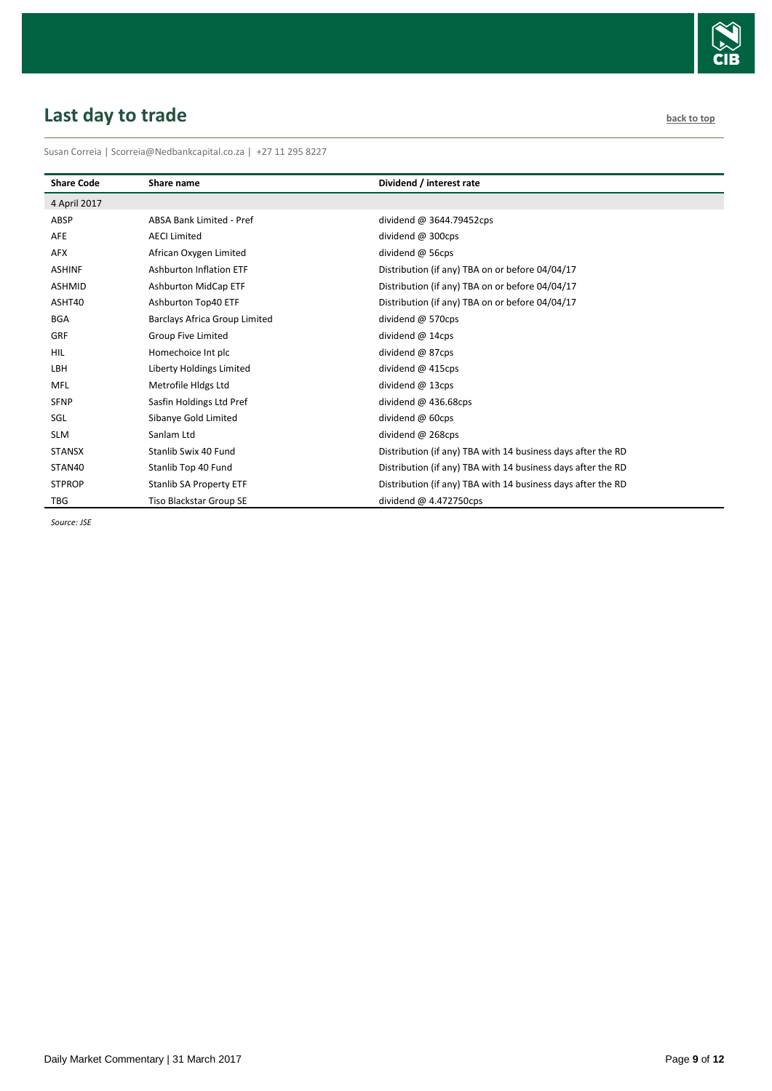

# <span id="page-8-0"></span>**Last day to trade [back to top](#page-0-0) back to top back to top**

Susan Correia | [Scorreia@Nedbankcapital.co.za](mailto:Scorreia@Nedbankcapital.co.za) | +27 11 295 8227

| <b>Share Code</b> | Share name                     | Dividend / interest rate                                     |
|-------------------|--------------------------------|--------------------------------------------------------------|
| 4 April 2017      |                                |                                                              |
| ABSP              | ABSA Bank Limited - Pref       | dividend @ $3644.79452$ cps                                  |
| AFE               | <b>AECI Limited</b>            | dividend @ 300cps                                            |
| AFX               | African Oxygen Limited         | dividend @ 56cps                                             |
| <b>ASHINF</b>     | <b>Ashburton Inflation ETF</b> | Distribution (if any) TBA on or before 04/04/17              |
| <b>ASHMID</b>     | <b>Ashburton MidCap ETF</b>    | Distribution (if any) TBA on or before 04/04/17              |
| ASHT40            | Ashburton Top40 ETF            | Distribution (if any) TBA on or before 04/04/17              |
| <b>BGA</b>        | Barclays Africa Group Limited  | dividend @ 570cps                                            |
| <b>GRF</b>        | <b>Group Five Limited</b>      | dividend @ 14cps                                             |
| <b>HIL</b>        | Homechoice Int plc             | dividend @ 87cps                                             |
| LBH               | Liberty Holdings Limited       | dividend @ 415cps                                            |
| <b>MFL</b>        | Metrofile Hidgs Ltd            | dividend @ 13cps                                             |
| <b>SFNP</b>       | Sasfin Holdings Ltd Pref       | dividend $@$ 436.68cps                                       |
| SGL               | Sibanye Gold Limited           | dividend @ 60cps                                             |
| <b>SLM</b>        | Sanlam Ltd                     | dividend @ 268cps                                            |
| <b>STANSX</b>     | Stanlib Swix 40 Fund           | Distribution (if any) TBA with 14 business days after the RD |
| STAN40            | Stanlib Top 40 Fund            | Distribution (if any) TBA with 14 business days after the RD |
| <b>STPROP</b>     | <b>Stanlib SA Property ETF</b> | Distribution (if any) TBA with 14 business days after the RD |
| <b>TBG</b>        | Tiso Blackstar Group SE        | dividend $@$ 4.472750cps                                     |

*Source: JSE*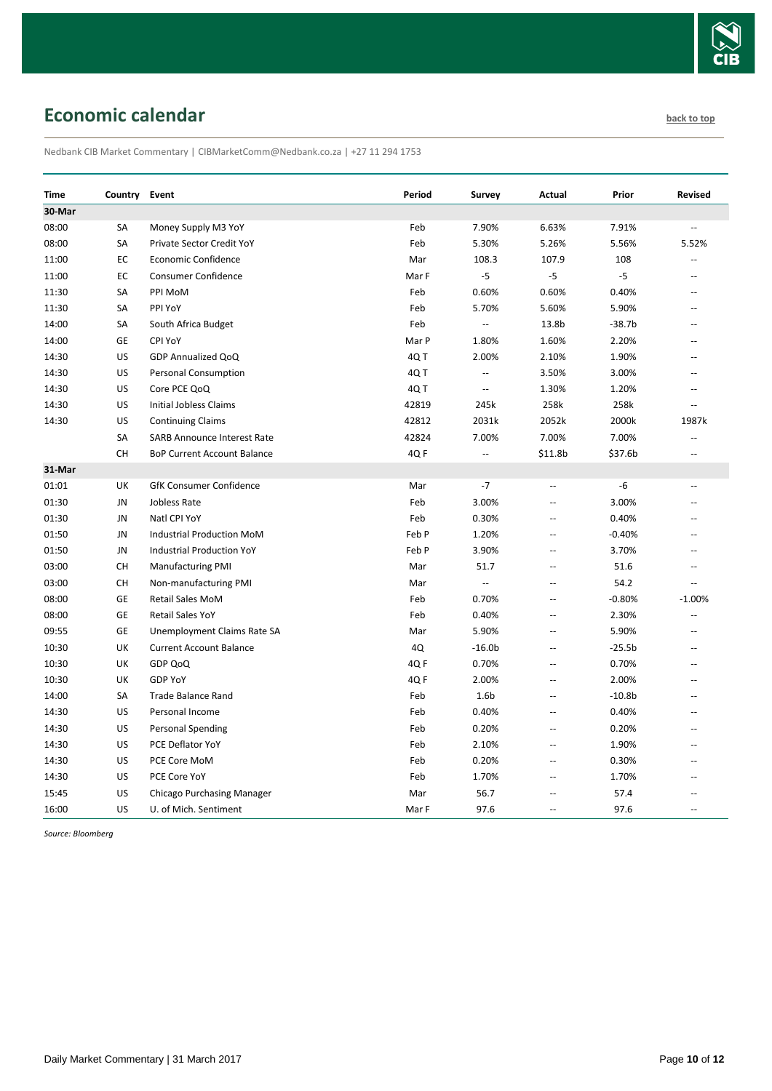

# <span id="page-9-0"></span>**Economic calendar [back to top](#page-0-0) back to top**

Nedbank CIB Market Commentary | CIBMarketComm@Nedbank.co.za | +27 11 294 1753

| Time   | Country   | Event                              | Period | Survey                   | Actual                   | Prior    | <b>Revised</b> |
|--------|-----------|------------------------------------|--------|--------------------------|--------------------------|----------|----------------|
| 30-Mar |           |                                    |        |                          |                          |          |                |
| 08:00  | SA        | Money Supply M3 YoY                | Feb    | 7.90%                    | 6.63%                    | 7.91%    | $\sim$         |
| 08:00  | SA        | Private Sector Credit YoY          | Feb    | 5.30%                    | 5.26%                    | 5.56%    | 5.52%          |
| 11:00  | EC        | Economic Confidence                | Mar    | 108.3                    | 107.9                    | 108      |                |
| 11:00  | EC        | <b>Consumer Confidence</b>         | Mar F  | $-5$                     | $-5$                     | $-5$     | $\overline{a}$ |
| 11:30  | SA        | PPI MoM                            | Feb    | 0.60%                    | 0.60%                    | 0.40%    | Ξ.             |
| 11:30  | SA        | PPI YoY                            | Feb    | 5.70%                    | 5.60%                    | 5.90%    | Ξ.             |
| 14:00  | SA        | South Africa Budget                | Feb    | Ξ.                       | 13.8b                    | $-38.7b$ | Ξ.             |
| 14:00  | GE        | CPI YoY                            | Mar P  | 1.80%                    | 1.60%                    | 2.20%    | $-$            |
| 14:30  | US        | GDP Annualized QoQ                 | 4QT    | 2.00%                    | 2.10%                    | 1.90%    | $\overline{a}$ |
| 14:30  | US        | <b>Personal Consumption</b>        | 4Q T   | $\overline{a}$           | 3.50%                    | 3.00%    | $\overline{a}$ |
| 14:30  | US        | Core PCE QoQ                       | 4Q T   |                          | 1.30%                    | 1.20%    |                |
| 14:30  | US        | Initial Jobless Claims             | 42819  | 245k                     | 258k                     | 258k     | $\sim$         |
| 14:30  | US        | <b>Continuing Claims</b>           | 42812  | 2031k                    | 2052k                    | 2000k    | 1987k          |
|        | SA        | <b>SARB Announce Interest Rate</b> | 42824  | 7.00%                    | 7.00%                    | 7.00%    | $\overline{a}$ |
|        | <b>CH</b> | <b>BoP Current Account Balance</b> | 4Q F   | $\overline{\phantom{a}}$ | \$11.8b                  | \$37.6b  | Ξ.             |
| 31-Mar |           |                                    |        |                          |                          |          |                |
| 01:01  | UK        | <b>GfK Consumer Confidence</b>     | Mar    | $-7$                     | Щ,                       | -6       | $-$            |
| 01:30  | JN        | Jobless Rate                       | Feb    | 3.00%                    | Ξ.                       | 3.00%    | $\sim$         |
| 01:30  | JN        | Natl CPI YoY                       | Feb    | 0.30%                    | Ξ.                       | 0.40%    |                |
| 01:50  | JN        | Industrial Production MoM          | Feb P  | 1.20%                    | $\overline{a}$           | $-0.40%$ | Ξ.             |
| 01:50  | JN        | <b>Industrial Production YoY</b>   | Feb P  | 3.90%                    | Ξ.                       | 3.70%    | $\sim$         |
| 03:00  | СH        | <b>Manufacturing PMI</b>           | Mar    | 51.7                     | Ξ.                       | 51.6     | $\sim$         |
| 03:00  | CH        | Non-manufacturing PMI              | Mar    | $\overline{\phantom{a}}$ | $\overline{a}$           | 54.2     | $\sim$         |
| 08:00  | <b>GE</b> | <b>Retail Sales MoM</b>            | Feb    | 0.70%                    | $\overline{\phantom{a}}$ | $-0.80%$ | $-1.00%$       |
| 08:00  | GE        | <b>Retail Sales YoY</b>            | Feb    | 0.40%                    | Ξ.                       | 2.30%    | Ξ.             |
| 09:55  | GE        | Unemployment Claims Rate SA        | Mar    | 5.90%                    |                          | 5.90%    |                |
| 10:30  | UK        | <b>Current Account Balance</b>     | 4Q     | $-16.0b$                 | $\overline{a}$           | $-25.5b$ | $\overline{a}$ |
| 10:30  | UK        | GDP QoQ                            | 4QF    | 0.70%                    | Ξ.                       | 0.70%    | Ξ.             |
| 10:30  | UK        | <b>GDP YoY</b>                     | 4Q F   | 2.00%                    | Ξ.                       | 2.00%    | $\overline{a}$ |
| 14:00  | SA        | <b>Trade Balance Rand</b>          | Feb    | 1.6 <sub>b</sub>         | Ξ.                       | $-10.8b$ |                |
| 14:30  | US        | Personal Income                    | Feb    | 0.40%                    | $\sim$                   | 0.40%    | $\overline{a}$ |
| 14:30  | US        | <b>Personal Spending</b>           | Feb    | 0.20%                    | ÷-                       | 0.20%    |                |
| 14:30  | US        | PCE Deflator YoY                   | Feb    | 2.10%                    | Ξ.                       | 1.90%    | $\overline{a}$ |
| 14:30  | US        | PCE Core MoM                       | Feb    | 0.20%                    | <u></u>                  | 0.30%    |                |
| 14:30  | US        | PCE Core YoY                       | Feb    | 1.70%                    | $\overline{a}$           | 1.70%    | $\overline{a}$ |
| 15:45  | US        | Chicago Purchasing Manager         | Mar    | 56.7                     | --                       | 57.4     |                |
| 16:00  | US        | U. of Mich. Sentiment              | Mar F  | 97.6                     | Ξ.                       | 97.6     | $\sim$         |

*Source: Bloomberg*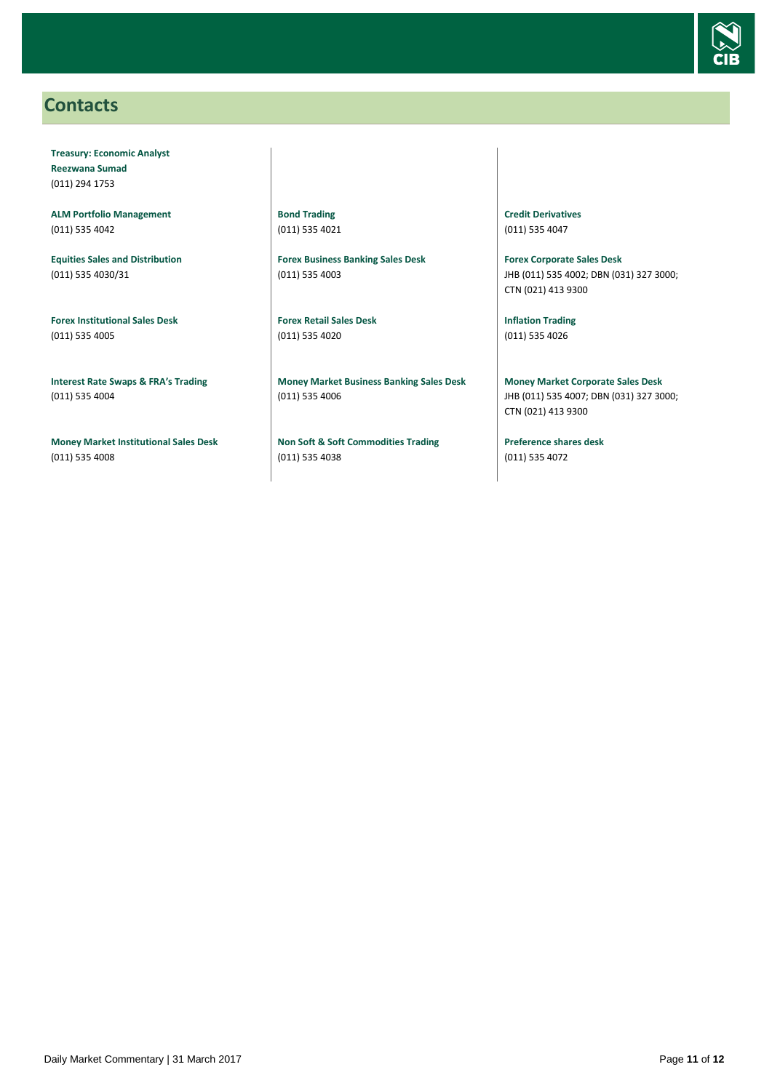

### <span id="page-10-0"></span>**Contacts**

**Treasury: Economic Analyst Reezwana Sumad** (011) 294 1753

**ALM Portfolio Management** (011) 535 4042

**Equities Sales and Distribution** (011) 535 4030/31

**Forex Institutional Sales Desk** (011) 535 4005

**Interest Rate Swaps & FRA's Trading** (011) 535 4004

**Money Market Institutional Sales Desk** (011) 535 4008

**Bond Trading** (011) 535 4021

**Forex Business Banking Sales Desk** (011) 535 4003

**Forex Retail Sales Desk** (011) 535 4020

**Money Market Business Banking Sales Desk** (011) 535 4006

**Non Soft & Soft Commodities Trading** (011) 535 4038

**Credit Derivatives**  (011) 535 4047

**Forex Corporate Sales Desk** JHB (011) 535 4002; DBN (031) 327 3000; CTN (021) 413 9300

**Inflation Trading** (011) 535 4026

**Money Market Corporate Sales Desk** JHB (011) 535 4007; DBN (031) 327 3000; CTN (021) 413 9300

**Preference shares desk** (011) 535 4072